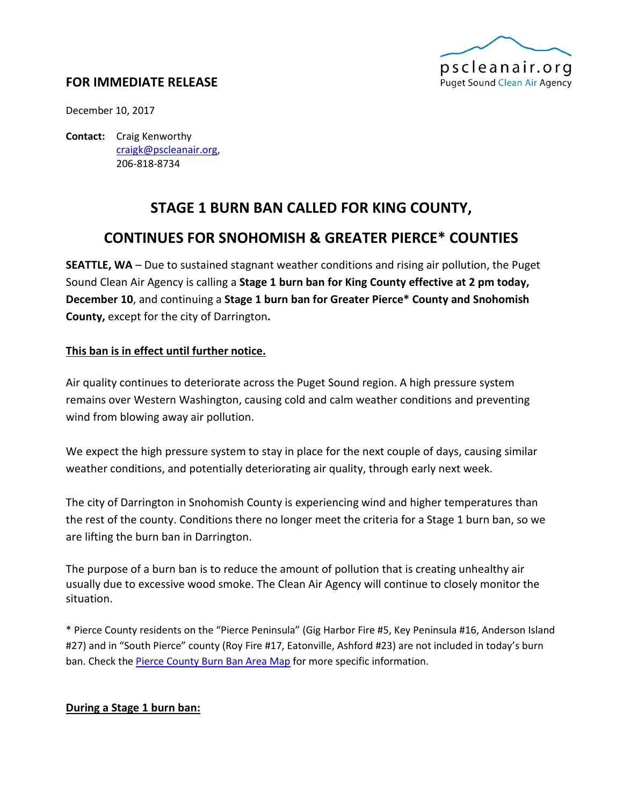

## **FOR IMMEDIATE RELEASE**

December 10, 2017

**Contact:** Craig Kenworthy [craigk@pscleanair.org,](mailto:craigk@pscleanair.org) 206-818-8734

# **STAGE 1 BURN BAN CALLED FOR KING COUNTY,**

## **CONTINUES FOR SNOHOMISH & GREATER PIERCE\* COUNTIES**

**SEATTLE, WA** – Due to sustained stagnant weather conditions and rising air pollution, the Puget Sound Clean Air Agency is calling a **Stage 1 burn ban for King County effective at 2 pm today, December 10**, and continuing a **Stage 1 burn ban for Greater Pierce\* County and Snohomish County,** except for the city of Darrington**.**

## **This ban is in effect until further notice.**

Air quality continues to deteriorate across the Puget Sound region. A high pressure system remains over Western Washington, causing cold and calm weather conditions and preventing wind from blowing away air pollution.

We expect the high pressure system to stay in place for the next couple of days, causing similar weather conditions, and potentially deteriorating air quality, through early next week.

The city of Darrington in Snohomish County is experiencing wind and higher temperatures than the rest of the county. Conditions there no longer meet the criteria for a Stage 1 burn ban, so we are lifting the burn ban in Darrington.

The purpose of a burn ban is to reduce the amount of pollution that is creating unhealthy air usually due to excessive wood smoke. The Clean Air Agency will continue to closely monitor the situation.

\* Pierce County residents on the "Pierce Peninsula" (Gig Harbor Fire #5, Key Peninsula #16, Anderson Island #27) and in "South Pierce" county (Roy Fire #17, Eatonville, Ashford #23) are not included in today's burn ban. Check the **Pierce County Burn Ban Area Map** for more specific information.

## **During a Stage 1 burn ban:**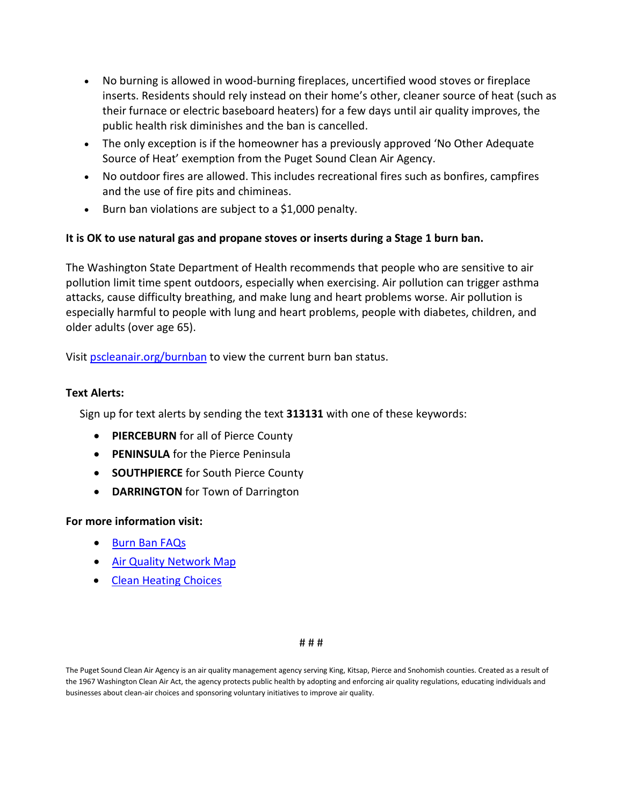- No burning is allowed in wood-burning fireplaces, uncertified wood stoves or fireplace inserts. Residents should rely instead on their home's other, cleaner source of heat (such as their furnace or electric baseboard heaters) for a few days until air quality improves, the public health risk diminishes and the ban is cancelled.
- The only exception is if the homeowner has a previously approved 'No Other Adequate Source of Heat' exemption from the Puget Sound Clean Air Agency.
- No outdoor fires are allowed. This includes recreational fires such as bonfires, campfires and the use of fire pits and chimineas.
- Burn ban violations are subject to a \$1,000 penalty.

## **It is OK to use natural gas and propane stoves or inserts during a Stage 1 burn ban.**

The Washington State Department of Health recommends that people who are sensitive to air pollution limit time spent outdoors, especially when exercising. Air pollution can trigger asthma attacks, cause difficulty breathing, and make lung and heart problems worse. Air pollution is especially harmful to people with lung and heart problems, people with diabetes, children, and older adults (over age 65).

Visit **pscleanair.org/burnban** to view the current burn ban status.

#### **Text Alerts:**

Sign up for text alerts by sending the text **313131** with one of these keywords:

- **PIERCEBURN** for all of Pierce County
- **PENINSULA** for the Pierce Peninsula
- **SOUTHPIERCE** for South Pierce County
- **DARRINGTON** for Town of Darrington

#### **For more information visit:**

- [Burn Ban FAQs](http://www.pscleanair.org/FAQ.aspx?TID=19)
- [Air Quality Network Map](http://www.pscleanair.or/networkmap)
- [Clean Heating Choices](http://www.pscleanair.org/327/Clean-Heating)

#### # # #

The Puget Sound Clean Air Agency is an air quality management agency serving King, Kitsap, Pierce and Snohomish counties. Created as a result of the 1967 Washington Clean Air Act, the agency protects public health by adopting and enforcing air quality regulations, educating individuals and businesses about clean-air choices and sponsoring voluntary initiatives to improve air quality.